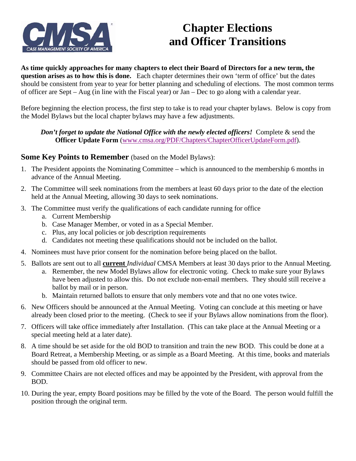

# **Chapter Elections and Officer Transitions**

**As time quickly approaches for many chapters to elect their Board of Directors for a new term, the question arises as to how this is done.** Each chapter determines their own 'term of office' but the dates should be consistent from year to year for better planning and scheduling of elections. The most common terms of officer are Sept – Aug (in line with the Fiscal year) or Jan – Dec to go along with a calendar year.

Before beginning the election process, the first step to take is to read your chapter bylaws. Below is copy from the Model Bylaws but the local chapter bylaws may have a few adjustments.

*Don't forget to update the National Office with the newly elected officers!* Complete & send the **Officer Update Form** (www.cmsa.org/PDF/Chapters/ChapterOfficerUpdateForm.pdf).

#### **Some Key Points to Remember** (based on the Model Bylaws):

- 1. The President appoints the Nominating Committee which is announced to the membership 6 months in advance of the Annual Meeting.
- 2. The Committee will seek nominations from the members at least 60 days prior to the date of the election held at the Annual Meeting, allowing 30 days to seek nominations.
- 3. The Committee must verify the qualifications of each candidate running for office
	- a. Current Membership
	- b. Case Manager Member, or voted in as a Special Member.
	- c. Plus, any local policies or job description requirements
	- d. Candidates not meeting these qualifications should not be included on the ballot.
- 4. Nominees must have prior consent for the nomination before being placed on the ballot.
- 5. Ballots are sent out to all **current** *Individual* CMSA Members at least 30 days prior to the Annual Meeting.
	- a. Remember, the new Model Bylaws allow for electronic voting. Check to make sure your Bylaws have been adjusted to allow this. Do not exclude non-email members. They should still receive a ballot by mail or in person.
	- b. Maintain returned ballots to ensure that only members vote and that no one votes twice.
- 6. New Officers should be announced at the Annual Meeting. Voting can conclude at this meeting or have already been closed prior to the meeting. (Check to see if your Bylaws allow nominations from the floor).
- 7. Officers will take office immediately after Installation. (This can take place at the Annual Meeting or a special meeting held at a later date).
- 8. A time should be set aside for the old BOD to transition and train the new BOD. This could be done at a Board Retreat, a Membership Meeting, or as simple as a Board Meeting. At this time, books and materials should be passed from old officer to new.
- 9. Committee Chairs are not elected offices and may be appointed by the President, with approval from the BOD.
- 10. During the year, empty Board positions may be filled by the vote of the Board. The person would fulfill the position through the original term.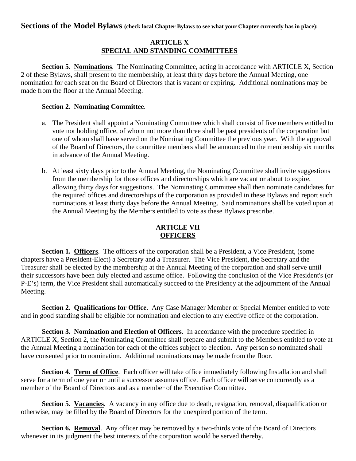#### **ARTICLE X SPECIAL AND STANDING COMMITTEES**

**Section 5. Nominations**. The Nominating Committee, acting in accordance with ARTICLE X, Section 2 of these Bylaws, shall present to the membership, at least thirty days before the Annual Meeting, one nomination for each seat on the Board of Directors that is vacant or expiring. Additional nominations may be made from the floor at the Annual Meeting.

#### **Section 2. Nominating Committee**.

- a. The President shall appoint a Nominating Committee which shall consist of five members entitled to vote not holding office, of whom not more than three shall be past presidents of the corporation but one of whom shall have served on the Nominating Committee the previous year. With the approval of the Board of Directors, the committee members shall be announced to the membership six months in advance of the Annual Meeting.
- b. At least sixty days prior to the Annual Meeting, the Nominating Committee shall invite suggestions from the membership for those offices and directorships which are vacant or about to expire, allowing thirty days for suggestions. The Nominating Committee shall then nominate candidates for the required offices and directorships of the corporation as provided in these Bylaws and report such nominations at least thirty days before the Annual Meeting. Said nominations shall be voted upon at the Annual Meeting by the Members entitled to vote as these Bylaws prescribe.

#### **ARTICLE VII OFFICERS**

**Section 1. Officers**. The officers of the corporation shall be a President, a Vice President, (some chapters have a President-Elect) a Secretary and a Treasurer. The Vice President, the Secretary and the Treasurer shall be elected by the membership at the Annual Meeting of the corporation and shall serve until their successors have been duly elected and assume office. Following the conclusion of the Vice President's (or P-E's) term, the Vice President shall automatically succeed to the Presidency at the adjournment of the Annual Meeting.

**Section 2. Qualifications for Office**. Any Case Manager Member or Special Member entitled to vote and in good standing shall be eligible for nomination and election to any elective office of the corporation.

**Section 3. Nomination and Election of Officers.** In accordance with the procedure specified in ARTICLE X, Section 2, the Nominating Committee shall prepare and submit to the Members entitled to vote at the Annual Meeting a nomination for each of the offices subject to election. Any person so nominated shall have consented prior to nomination. Additional nominations may be made from the floor.

**Section 4. Term of Office.** Each officer will take office immediately following Installation and shall serve for a term of one year or until a successor assumes office. Each officer will serve concurrently as a member of the Board of Directors and as a member of the Executive Committee.

**Section 5. Vacancies**. A vacancy in any office due to death, resignation, removal, disqualification or otherwise, may be filled by the Board of Directors for the unexpired portion of the term.

**Section 6. Removal.** Any officer may be removed by a two-thirds vote of the Board of Directors whenever in its judgment the best interests of the corporation would be served thereby.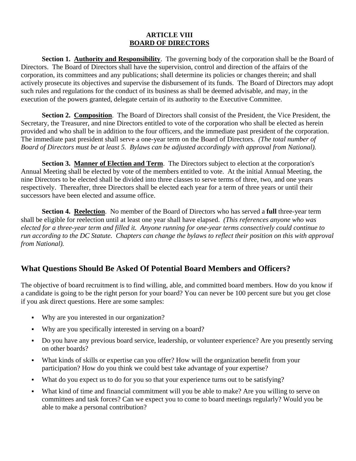#### **ARTICLE VIII BOARD OF DIRECTORS**

**Section 1. Authority and Responsibility**. The governing body of the corporation shall be the Board of Directors. The Board of Directors shall have the supervision, control and direction of the affairs of the corporation, its committees and any publications; shall determine its policies or changes therein; and shall actively prosecute its objectives and supervise the disbursement of its funds. The Board of Directors may adopt such rules and regulations for the conduct of its business as shall be deemed advisable, and may, in the execution of the powers granted, delegate certain of its authority to the Executive Committee.

**Section 2. Composition**. The Board of Directors shall consist of the President, the Vice President, the Secretary, the Treasurer, and nine Directors entitled to vote of the corporation who shall be elected as herein provided and who shall be in addition to the four officers, and the immediate past president of the corporation. The immediate past president shall serve a one-year term on the Board of Directors. *(The total number of Board of Directors must be at least 5. Bylaws can be adjusted accordingly with approval from National).* 

**Section 3. Manner of Election and Term**. The Directors subject to election at the corporation's Annual Meeting shall be elected by vote of the members entitled to vote. At the initial Annual Meeting, the nine Directors to be elected shall be divided into three classes to serve terms of three, two, and one years respectively. Thereafter, three Directors shall be elected each year for a term of three years or until their successors have been elected and assume office.

**Section 4. Reelection**. No member of the Board of Directors who has served a **full** three-year term shall be eligible for reelection until at least one year shall have elapsed. *(This references anyone who was elected for a three-year term and filled it. Anyone running for one-year terms consectively could continue to run according to the DC Statute. Chapters can change the bylaws to reflect their position on this with approval from National).* 

### **What Questions Should Be Asked Of Potential Board Members and Officers?**

The objective of board recruitment is to find willing, able, and committed board members. How do you know if a candidate is going to be the right person for your board? You can never be 100 percent sure but you get close if you ask direct questions. Here are some samples:

- Why are you interested in our organization?
- Why are you specifically interested in serving on a board?
- Do you have any previous board service, leadership, or volunteer experience? Are you presently serving on other boards?
- What kinds of skills or expertise can you offer? How will the organization benefit from your participation? How do you think we could best take advantage of your expertise?
- What do you expect us to do for you so that your experience turns out to be satisfying?
- What kind of time and financial commitment will you be able to make? Are you willing to serve on committees and task forces? Can we expect you to come to board meetings regularly? Would you be able to make a personal contribution?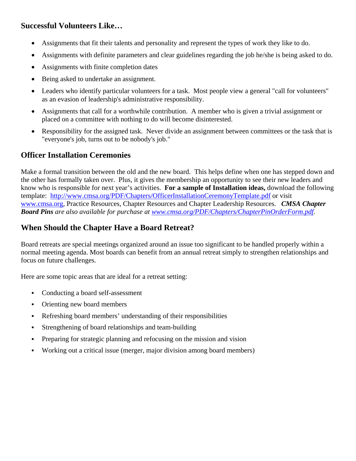### **Successful Volunteers Like…**

- Assignments that fit their talents and personality and represent the types of work they like to do.
- Assignments with definite parameters and clear guidelines regarding the job he/she is being asked to do.
- Assignments with finite completion dates
- Being asked to undertake an assignment.
- Leaders who identify particular volunteers for a task. Most people view a general "call for volunteers" as an evasion of leadership's administrative responsibility.
- Assignments that call for a worthwhile contribution. A member who is given a trivial assignment or placed on a committee with nothing to do will become disinterested.
- Responsibility for the assigned task. Never divide an assignment between committees or the task that is "everyone's job, turns out to be nobody's job."

### **Officer Installation Ceremonies**

Make a formal transition between the old and the new board. This helps define when one has stepped down and the other has formally taken over. Plus, it gives the membership an opportunity to see their new leaders and know who is responsible for next year's activities. **For a sample of Installation ideas,** download the following template: http://www.cmsa.org/PDF/Chapters/OfficerInstallationCeremonyTemplate.pdf or visit www.cmsa.org, Practice Resources, Chapter Resources and Chapter Leadership Resources. *CMSA Chapter Board Pins are also available for purchase at www.cmsa.org/PDF/Chapters/ChapterPinOrderForm.pdf.* 

### **When Should the Chapter Have a Board Retreat?**

Board retreats are special meetings organized around an issue too significant to be handled properly within a normal meeting agenda. Most boards can benefit from an annual retreat simply to strengthen relationships and focus on future challenges.

Here are some topic areas that are ideal for a retreat setting:

- Conducting a board self-assessment
- Orienting new board members
- Refreshing board members' understanding of their responsibilities
- Strengthening of board relationships and team-building
- **•** Preparing for strategic planning and refocusing on the mission and vision
- Working out a critical issue (merger, major division among board members)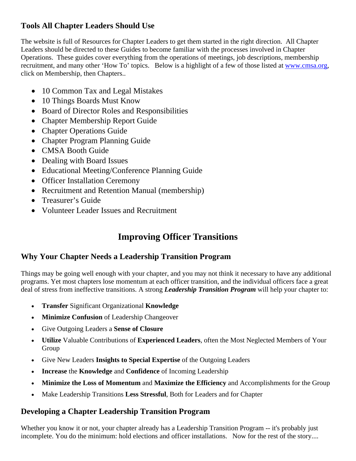### **Tools All Chapter Leaders Should Use**

The website is full of Resources for Chapter Leaders to get them started in the right direction. All Chapter Leaders should be directed to these Guides to become familiar with the processes involved in Chapter Operations. These guides cover everything from the operations of meetings, job descriptions, membership recruitment, and many other 'How To' topics. Below is a highlight of a few of those listed at www.cmsa.org, click on Membership, then Chapters..

- 10 Common Tax and Legal Mistakes
- 10 Things Boards Must Know
- Board of Director Roles and Responsibilities
- Chapter Membership Report Guide
- Chapter Operations Guide
- Chapter Program Planning Guide
- CMSA Booth Guide
- Dealing with Board Issues
- Educational Meeting/Conference Planning Guide
- Officer Installation Ceremony
- Recruitment and Retention Manual (membership)
- Treasurer's Guide
- Volunteer Leader Issues and Recruitment

## **Improving Officer Transitions**

### **Why Your Chapter Needs a Leadership Transition Program**

Things may be going well enough with your chapter, and you may not think it necessary to have any additional programs. Yet most chapters lose momentum at each officer transition, and the individual officers face a great deal of stress from ineffective transitions. A strong *Leadership Transition Program* will help your chapter to:

- **Transfer** Significant Organizational **Knowledge**
- **Minimize Confusion** of Leadership Changeover
- Give Outgoing Leaders a **Sense of Closure**
- **Utilize** Valuable Contributions of **Experienced Leaders**, often the Most Neglected Members of Your Group
- Give New Leaders **Insights to Special Expertise** of the Outgoing Leaders
- **Increase** the **Knowledge** and **Confidence** of Incoming Leadership
- **Minimize the Loss of Momentum** and **Maximize the Efficiency** and Accomplishments for the Group
- Make Leadership Transitions **Less Stressful**, Both for Leaders and for Chapter

### **Developing a Chapter Leadership Transition Program**

Whether you know it or not, your chapter already has a Leadership Transition Program -- it's probably just incomplete. You do the minimum: hold elections and officer installations. Now for the rest of the story....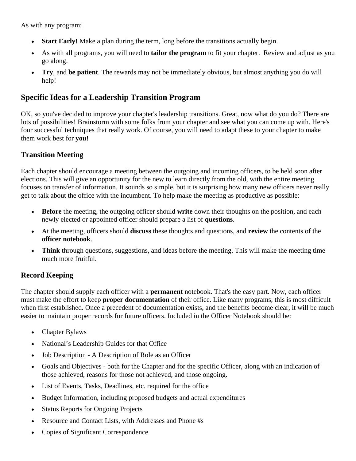As with any program:

- **Start Early!** Make a plan during the term, long before the transitions actually begin.
- As with all programs, you will need to **tailor the program** to fit your chapter. Review and adjust as you go along.
- **Try**, and **be patient**. The rewards may not be immediately obvious, but almost anything you do will help!

### **Specific Ideas for a Leadership Transition Program**

OK, so you've decided to improve your chapter's leadership transitions. Great, now what do you do? There are lots of possibilities! Brainstorm with some folks from your chapter and see what you can come up with. Here's four successful techniques that really work. Of course, you will need to adapt these to your chapter to make them work best for **you!**

### **Transition Meeting**

Each chapter should encourage a meeting between the outgoing and incoming officers, to be held soon after elections. This will give an opportunity for the new to learn directly from the old, with the entire meeting focuses on transfer of information. It sounds so simple, but it is surprising how many new officers never really get to talk about the office with the incumbent. To help make the meeting as productive as possible:

- **Before** the meeting, the outgoing officer should **write** down their thoughts on the position, and each newly elected or appointed officer should prepare a list of **questions**.
- At the meeting, officers should **discuss** these thoughts and questions, and **review** the contents of the **officer notebook**.
- **Think** through questions, suggestions, and ideas before the meeting. This will make the meeting time much more fruitful.

### **Record Keeping**

The chapter should supply each officer with a **permanent** notebook. That's the easy part. Now, each officer must make the effort to keep **proper documentation** of their office. Like many programs, this is most difficult when first established. Once a precedent of documentation exists, and the benefits become clear, it will be much easier to maintain proper records for future officers. Included in the Officer Notebook should be:

- Chapter Bylaws
- National's Leadership Guides for that Office
- Job Description A Description of Role as an Officer
- Goals and Objectives both for the Chapter and for the specific Officer, along with an indication of those achieved, reasons for those not achieved, and those ongoing.
- List of Events, Tasks, Deadlines, etc. required for the office
- Budget Information, including proposed budgets and actual expenditures
- Status Reports for Ongoing Projects
- Resource and Contact Lists, with Addresses and Phone #s
- Copies of Significant Correspondence